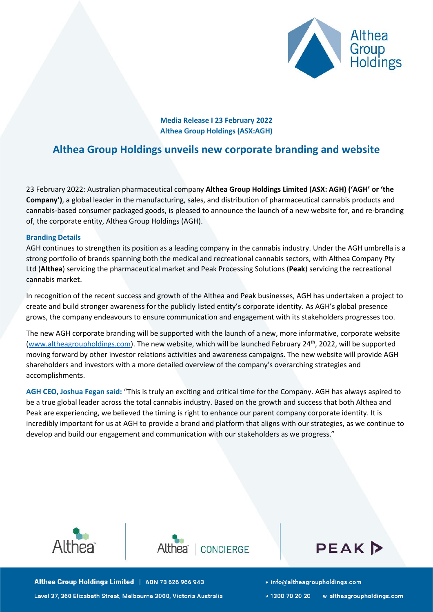

**Media Release I 23 February 2022 Althea Group Holdings (ASX:AGH)**

# **Althea Group Holdings unveils new corporate branding and website**

23 February 2022: Australian pharmaceutical company **Althea Group Holdings Limited (ASX: AGH) ('AGH' or 'the Company')**, a global leader in the manufacturing, sales, and distribution of pharmaceutical cannabis products and cannabis-based consumer packaged goods, is pleased to announce the launch of a new website for, and re-branding of, the corporate entity, Althea Group Holdings (AGH).

## **Branding Details**

AGH continues to strengthen its position as a leading company in the cannabis industry. Under the AGH umbrella is a strong portfolio of brands spanning both the medical and recreational cannabis sectors, with Althea Company Pty Ltd (**Althea**) servicing the pharmaceutical market and Peak Processing Solutions (**Peak**) servicing the recreational cannabis market.

In recognition of the recent success and growth of the Althea and Peak businesses, AGH has undertaken a project to create and build stronger awareness for the publicly listed entity's corporate identity. As AGH's global presence grows, the company endeavours to ensure communication and engagement with its stakeholders progresses too.

The new AGH corporate branding will be supported with the launch of a new, more informative, corporate website [\(www.altheagroupholdings.com\)](http://www.altheagroupholdings.com/). The new website, which will be launched February 24<sup>th</sup>, 2022, will be supported moving forward by other investor relations activities and awareness campaigns. The new website will provide AGH shareholders and investors with a more detailed overview of the company's overarching strategies and accomplishments.

**AGH CEO, Joshua Fegan said:** "This is truly an exciting and critical time for the Company. AGH has always aspired to be a true global leader across the total cannabis industry. Based on the growth and success that both Althea and Peak are experiencing, we believed the timing is right to enhance our parent company corporate identity. It is incredibly important for us at AGH to provide a brand and platform that aligns with our strategies, as we continue to develop and build our engagement and communication with our stakeholders as we progress."







Althea Group Holdings Limited | ABN 78 626 966 943 Level 37, 360 Elizabeth Street, Melbourne 3000, Victoria Australia E info@altheagroupholdings.com